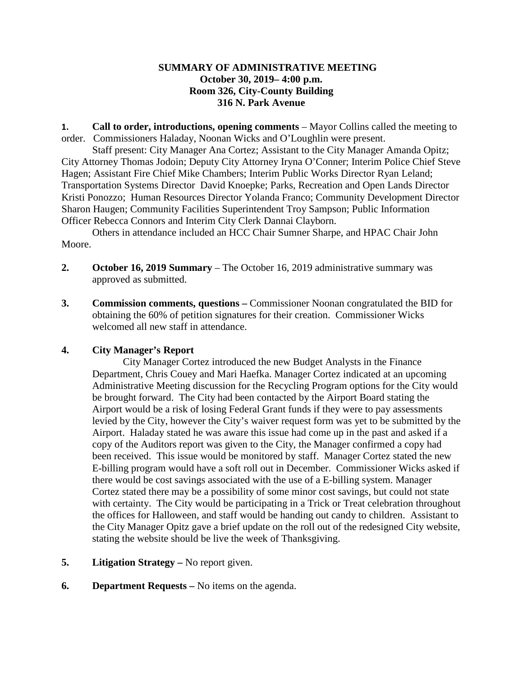# **SUMMARY OF ADMINISTRATIVE MEETING October 30, 2019– 4:00 p.m. Room 326, City-County Building 316 N. Park Avenue**

**1. Call to order, introductions, opening comments** – Mayor Collins called the meeting to order. Commissioners Haladay, Noonan Wicks and O'Loughlin were present.

Staff present: City Manager Ana Cortez; Assistant to the City Manager Amanda Opitz; City Attorney Thomas Jodoin; Deputy City Attorney Iryna O'Conner; Interim Police Chief Steve Hagen; Assistant Fire Chief Mike Chambers; Interim Public Works Director Ryan Leland; Transportation Systems Director David Knoepke; Parks, Recreation and Open Lands Director Kristi Ponozzo; Human Resources Director Yolanda Franco; Community Development Director Sharon Haugen; Community Facilities Superintendent Troy Sampson; Public Information Officer Rebecca Connors and Interim City Clerk Dannai Clayborn.

Others in attendance included an HCC Chair Sumner Sharpe, and HPAC Chair John Moore.

- **2. October 16, 2019 Summary**  The October 16, 2019 administrative summary was approved as submitted.
- **3. Commission comments, questions –** Commissioner Noonan congratulated the BID for obtaining the 60% of petition signatures for their creation. Commissioner Wicks welcomed all new staff in attendance.

# **4. City Manager's Report**

City Manager Cortez introduced the new Budget Analysts in the Finance Department, Chris Couey and Mari Haefka. Manager Cortez indicated at an upcoming Administrative Meeting discussion for the Recycling Program options for the City would be brought forward. The City had been contacted by the Airport Board stating the Airport would be a risk of losing Federal Grant funds if they were to pay assessments levied by the City, however the City's waiver request form was yet to be submitted by the Airport. Haladay stated he was aware this issue had come up in the past and asked if a copy of the Auditors report was given to the City, the Manager confirmed a copy had been received. This issue would be monitored by staff. Manager Cortez stated the new E-billing program would have a soft roll out in December. Commissioner Wicks asked if there would be cost savings associated with the use of a E-billing system. Manager Cortez stated there may be a possibility of some minor cost savings, but could not state with certainty. The City would be participating in a Trick or Treat celebration throughout the offices for Halloween, and staff would be handing out candy to children. Assistant to the City Manager Opitz gave a brief update on the roll out of the redesigned City website, stating the website should be live the week of Thanksgiving.

- **5. Litigation Strategy –** No report given.
- **6. Department Requests –** No items on the agenda.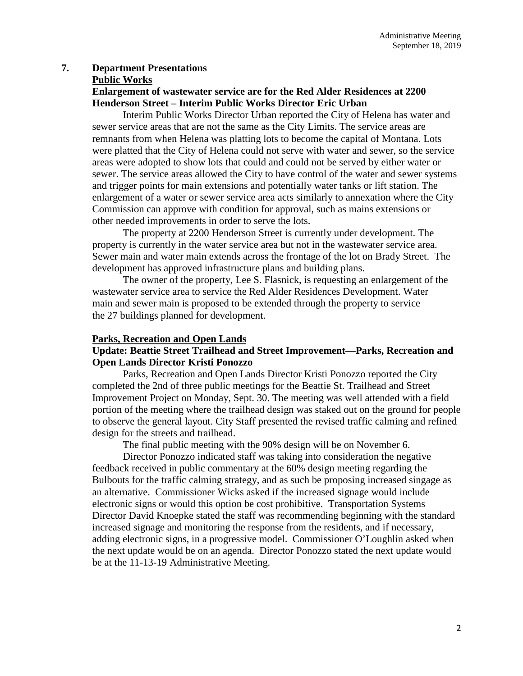# **7. Department Presentations**

#### **Public Works**

# **Enlargement of wastewater service are for the Red Alder Residences at 2200 Henderson Street – Interim Public Works Director Eric Urban**

Interim Public Works Director Urban reported the City of Helena has water and sewer service areas that are not the same as the City Limits. The service areas are remnants from when Helena was platting lots to become the capital of Montana. Lots were platted that the City of Helena could not serve with water and sewer, so the service areas were adopted to show lots that could and could not be served by either water or sewer. The service areas allowed the City to have control of the water and sewer systems and trigger points for main extensions and potentially water tanks or lift station. The enlargement of a water or sewer service area acts similarly to annexation where the City Commission can approve with condition for approval, such as mains extensions or other needed improvements in order to serve the lots.

The property at 2200 Henderson Street is currently under development. The property is currently in the water service area but not in the wastewater service area. Sewer main and water main extends across the frontage of the lot on Brady Street. The development has approved infrastructure plans and building plans.

The owner of the property, Lee S. Flasnick, is requesting an enlargement of the wastewater service area to service the Red Alder Residences Development. Water main and sewer main is proposed to be extended through the property to service the 27 buildings planned for development.

### **Parks, Recreation and Open Lands**

## **Update: Beattie Street Trailhead and Street Improvement—Parks, Recreation and Open Lands Director Kristi Ponozzo**

Parks, Recreation and Open Lands Director Kristi Ponozzo reported the City completed the 2nd of three public meetings for the Beattie St. Trailhead and Street Improvement Project on Monday, Sept. 30. The meeting was well attended with a field portion of the meeting where the trailhead design was staked out on the ground for people to observe the general layout. City Staff presented the revised traffic calming and refined design for the streets and trailhead.

The final public meeting with the 90% design will be on November 6.

Director Ponozzo indicated staff was taking into consideration the negative feedback received in public commentary at the 60% design meeting regarding the Bulbouts for the traffic calming strategy, and as such be proposing increased singage as an alternative. Commissioner Wicks asked if the increased signage would include electronic signs or would this option be cost prohibitive. Transportation Systems Director David Knoepke stated the staff was recommending beginning with the standard increased signage and monitoring the response from the residents, and if necessary, adding electronic signs, in a progressive model. Commissioner O'Loughlin asked when the next update would be on an agenda. Director Ponozzo stated the next update would be at the 11-13-19 Administrative Meeting.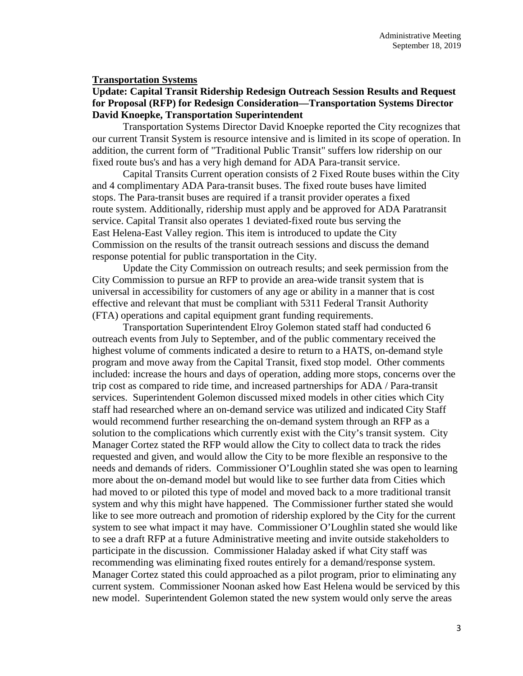#### **Transportation Systems**

# **Update: Capital Transit Ridership Redesign Outreach Session Results and Request for Proposal (RFP) for Redesign Consideration—Transportation Systems Director David Knoepke, Transportation Superintendent**

Transportation Systems Director David Knoepke reported the City recognizes that our current Transit System is resource intensive and is limited in its scope of operation. In addition, the current form of "Traditional Public Transit" suffers low ridership on our fixed route bus's and has a very high demand for ADA Para-transit service.

Capital Transits Current operation consists of 2 Fixed Route buses within the City and 4 complimentary ADA Para-transit buses. The fixed route buses have limited stops. The Para-transit buses are required if a transit provider operates a fixed route system. Additionally, ridership must apply and be approved for ADA Paratransit service. Capital Transit also operates 1 deviated-fixed route bus serving the East Helena-East Valley region. This item is introduced to update the City Commission on the results of the transit outreach sessions and discuss the demand response potential for public transportation in the City.

Update the City Commission on outreach results; and seek permission from the City Commission to pursue an RFP to provide an area-wide transit system that is universal in accessibility for customers of any age or ability in a manner that is cost effective and relevant that must be compliant with 5311 Federal Transit Authority (FTA) operations and capital equipment grant funding requirements.

Transportation Superintendent Elroy Golemon stated staff had conducted 6 outreach events from July to September, and of the public commentary received the highest volume of comments indicated a desire to return to a HATS, on-demand style program and move away from the Capital Transit, fixed stop model. Other comments included: increase the hours and days of operation, adding more stops, concerns over the trip cost as compared to ride time, and increased partnerships for ADA / Para-transit services. Superintendent Golemon discussed mixed models in other cities which City staff had researched where an on-demand service was utilized and indicated City Staff would recommend further researching the on-demand system through an RFP as a solution to the complications which currently exist with the City's transit system. City Manager Cortez stated the RFP would allow the City to collect data to track the rides requested and given, and would allow the City to be more flexible an responsive to the needs and demands of riders. Commissioner O'Loughlin stated she was open to learning more about the on-demand model but would like to see further data from Cities which had moved to or piloted this type of model and moved back to a more traditional transit system and why this might have happened. The Commissioner further stated she would like to see more outreach and promotion of ridership explored by the City for the current system to see what impact it may have. Commissioner O'Loughlin stated she would like to see a draft RFP at a future Administrative meeting and invite outside stakeholders to participate in the discussion. Commissioner Haladay asked if what City staff was recommending was eliminating fixed routes entirely for a demand/response system. Manager Cortez stated this could approached as a pilot program, prior to eliminating any current system. Commissioner Noonan asked how East Helena would be serviced by this new model. Superintendent Golemon stated the new system would only serve the areas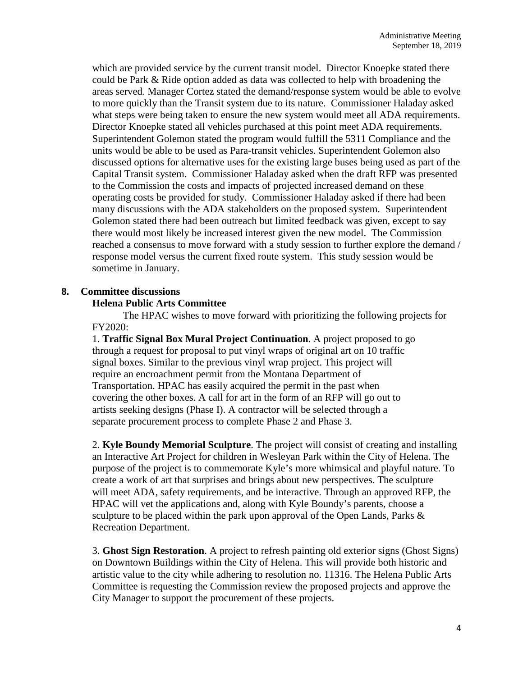which are provided service by the current transit model. Director Knoepke stated there could be Park & Ride option added as data was collected to help with broadening the areas served. Manager Cortez stated the demand/response system would be able to evolve to more quickly than the Transit system due to its nature. Commissioner Haladay asked what steps were being taken to ensure the new system would meet all ADA requirements. Director Knoepke stated all vehicles purchased at this point meet ADA requirements. Superintendent Golemon stated the program would fulfill the 5311 Compliance and the units would be able to be used as Para-transit vehicles. Superintendent Golemon also discussed options for alternative uses for the existing large buses being used as part of the Capital Transit system. Commissioner Haladay asked when the draft RFP was presented to the Commission the costs and impacts of projected increased demand on these operating costs be provided for study. Commissioner Haladay asked if there had been many discussions with the ADA stakeholders on the proposed system. Superintendent Golemon stated there had been outreach but limited feedback was given, except to say there would most likely be increased interest given the new model. The Commission reached a consensus to move forward with a study session to further explore the demand / response model versus the current fixed route system. This study session would be sometime in January.

## **8. Committee discussions**

# **Helena Public Arts Committee**

The HPAC wishes to move forward with prioritizing the following projects for FY2020:

1. **Traffic Signal Box Mural Project Continuation**. A project proposed to go through a request for proposal to put vinyl wraps of original art on 10 traffic signal boxes. Similar to the previous vinyl wrap project. This project will require an encroachment permit from the Montana Department of Transportation. HPAC has easily acquired the permit in the past when covering the other boxes. A call for art in the form of an RFP will go out to artists seeking designs (Phase I). A contractor will be selected through a separate procurement process to complete Phase 2 and Phase 3.

2. **Kyle Boundy Memorial Sculpture**. The project will consist of creating and installing an Interactive Art Project for children in Wesleyan Park within the City of Helena. The purpose of the project is to commemorate Kyle's more whimsical and playful nature. To create a work of art that surprises and brings about new perspectives. The sculpture will meet ADA, safety requirements, and be interactive. Through an approved RFP, the HPAC will vet the applications and, along with Kyle Boundy's parents, choose a sculpture to be placed within the park upon approval of the Open Lands, Parks  $\&$ Recreation Department.

3. **Ghost Sign Restoration**. A project to refresh painting old exterior signs (Ghost Signs) on Downtown Buildings within the City of Helena. This will provide both historic and artistic value to the city while adhering to resolution no. 11316. The Helena Public Arts Committee is requesting the Commission review the proposed projects and approve the City Manager to support the procurement of these projects.